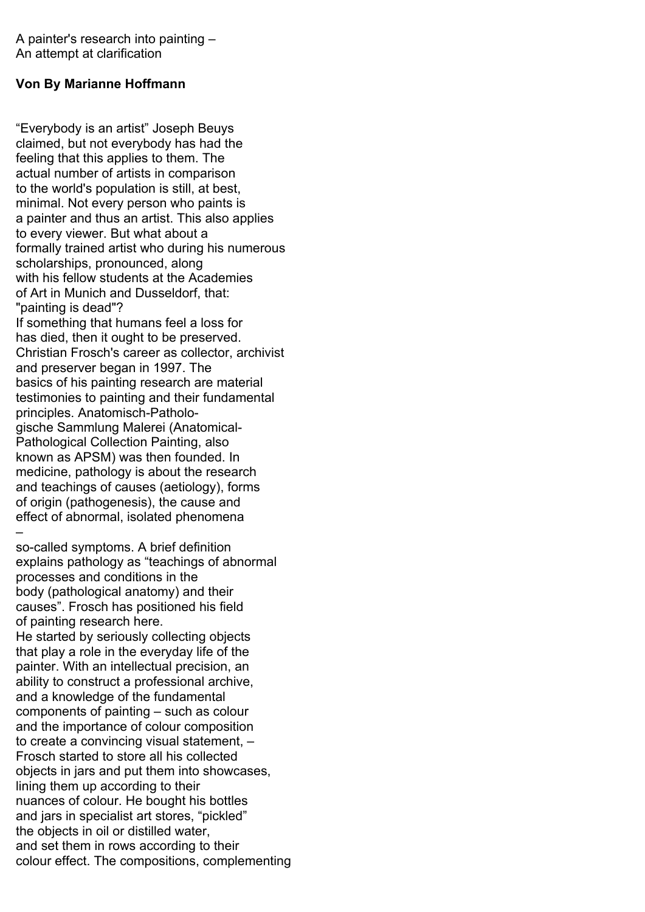A painter's research into painting – An attempt at clarification

## **Von By Marianne Hoffmann**

"Everybody is an artist" Joseph Beuys claimed, but not everybody has had the feeling that this applies to them. The actual number of artists in comparison to the world's population is still, at best, minimal. Not every person who paints is a painter and thus an artist. This also applies to every viewer. But what about a formally trained artist who during his numerous scholarships, pronounced, along with his fellow students at the Academies of Art in Munich and Dusseldorf, that: "painting is dead"? If something that humans feel a loss for has died, then it ought to be preserved. Christian Frosch's career as collector, archivist and preserver began in 1997. The basics of his painting research are material testimonies to painting and their fundamental principles. Anatomisch-Pathologische Sammlung Malerei (Anatomical-Pathological Collection Painting, also known as APSM) was then founded. In medicine, pathology is about the research and teachings of causes (aetiology), forms of origin (pathogenesis), the cause and effect of abnormal, isolated phenomena –

so-called symptoms. A brief definition explains pathology as "teachings of abnormal processes and conditions in the body (pathological anatomy) and their causes". Frosch has positioned his field of painting research here. He started by seriously collecting objects that play a role in the everyday life of the painter. With an intellectual precision, an ability to construct a professional archive, and a knowledge of the fundamental components of painting – such as colour and the importance of colour composition to create a convincing visual statement, – Frosch started to store all his collected objects in jars and put them into showcases, lining them up according to their nuances of colour. He bought his bottles and jars in specialist art stores, "pickled" the objects in oil or distilled water, and set them in rows according to their colour effect. The compositions, complementing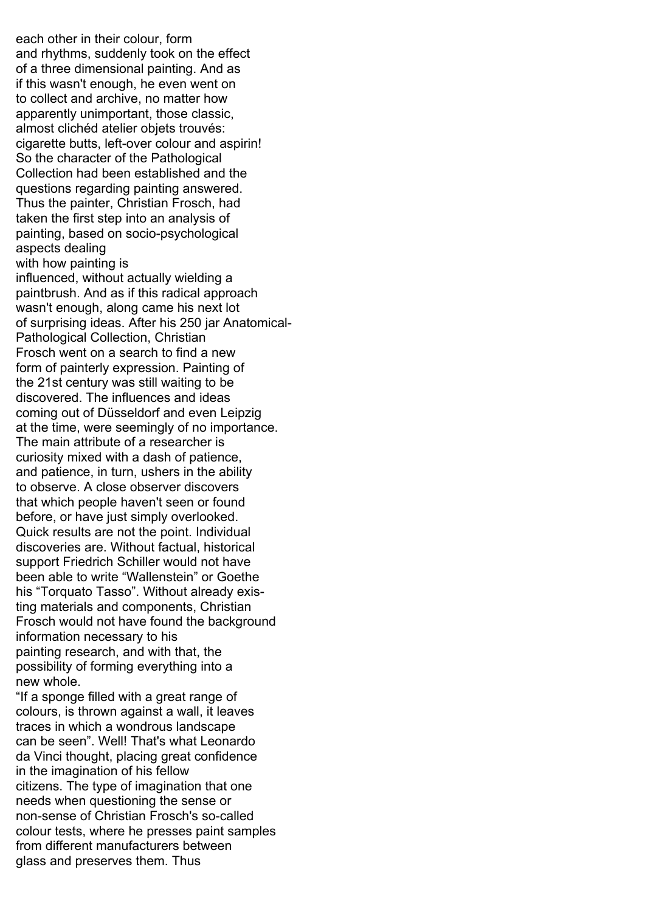each other in their colour, form and rhythms, suddenly took on the effect of a three dimensional painting. And as if this wasn't enough, he even went on to collect and archive, no matter how apparently unimportant, those classic, almost clichéd atelier objets trouvés: cigarette butts, left-over colour and aspirin! So the character of the Pathological Collection had been established and the questions regarding painting answered. Thus the painter, Christian Frosch, had taken the first step into an analysis of painting, based on socio-psychological aspects dealing with how painting is influenced, without actually wielding a paintbrush. And as if this radical approach wasn't enough, along came his next lot of surprising ideas. After his 250 jar Anatomical-Pathological Collection, Christian Frosch went on a search to find a new form of painterly expression. Painting of the 21st century was still waiting to be discovered. The influences and ideas coming out of Düsseldorf and even Leipzig at the time, were seemingly of no importance. The main attribute of a researcher is curiosity mixed with a dash of patience, and patience, in turn, ushers in the ability to observe. A close observer discovers that which people haven't seen or found before, or have just simply overlooked. Quick results are not the point. Individual discoveries are. Without factual, historical support Friedrich Schiller would not have been able to write "Wallenstein" or Goethe his "Torquato Tasso". Without already existing materials and components, Christian Frosch would not have found the background information necessary to his painting research, and with that, the possibility of forming everything into a new whole. "If a sponge filled with a great range of

colours, is thrown against a wall, it leaves traces in which a wondrous landscape can be seen". Well! That's what Leonardo da Vinci thought, placing great confidence in the imagination of his fellow citizens. The type of imagination that one needs when questioning the sense or non-sense of Christian Frosch's so-called colour tests, where he presses paint samples from different manufacturers between glass and preserves them. Thus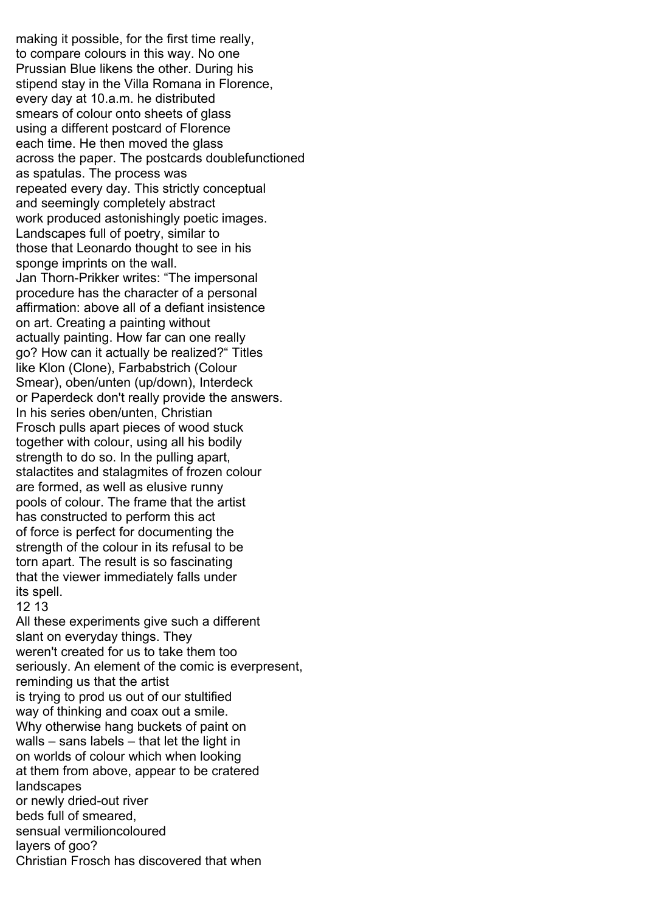making it possible, for the first time really, to compare colours in this way. No one Prussian Blue likens the other. During his stipend stay in the Villa Romana in Florence, every day at 10.a.m. he distributed smears of colour onto sheets of glass using a different postcard of Florence each time. He then moved the glass across the paper. The postcards doublefunctioned as spatulas. The process was repeated every day. This strictly conceptual and seemingly completely abstract work produced astonishingly poetic images. Landscapes full of poetry, similar to those that Leonardo thought to see in his sponge imprints on the wall. Jan Thorn-Prikker writes: "The impersonal procedure has the character of a personal affirmation: above all of a defiant insistence on art. Creating a painting without actually painting. How far can one really go? How can it actually be realized?" Titles like Klon (Clone), Farbabstrich (Colour Smear), oben/unten (up/down), Interdeck or Paperdeck don't really provide the answers. In his series oben/unten, Christian Frosch pulls apart pieces of wood stuck together with colour, using all his bodily strength to do so. In the pulling apart, stalactites and stalagmites of frozen colour are formed, as well as elusive runny pools of colour. The frame that the artist has constructed to perform this act of force is perfect for documenting the strength of the colour in its refusal to be torn apart. The result is so fascinating that the viewer immediately falls under its spell. 12 13 All these experiments give such a different slant on everyday things. They weren't created for us to take them too seriously. An element of the comic is everpresent, reminding us that the artist is trying to prod us out of our stultified way of thinking and coax out a smile. Why otherwise hang buckets of paint on walls – sans labels – that let the light in on worlds of colour which when looking at them from above, appear to be cratered landscapes or newly dried-out river beds full of smeared, sensual vermilioncoloured layers of goo? Christian Frosch has discovered that when